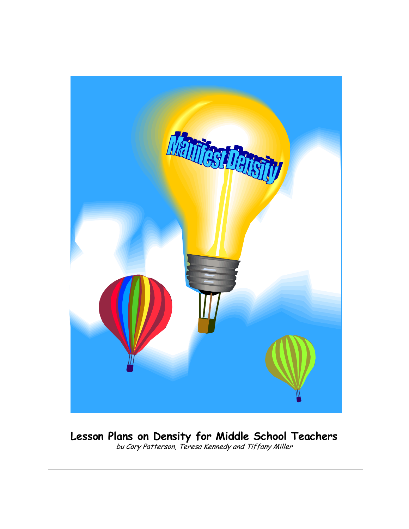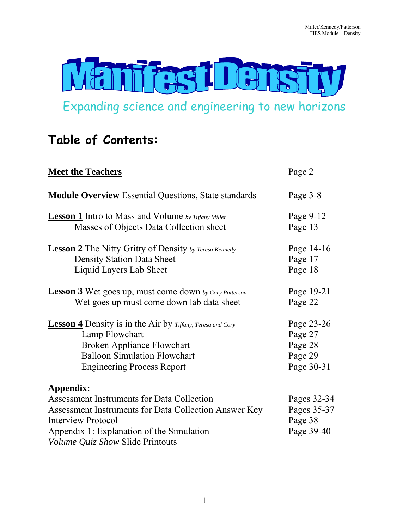

Expanding science and engineering to new horizons

# **Table of Contents:**

| <b>Meet the Teachers</b>                                                                                                                                                                                                                     | Page 2                                              |
|----------------------------------------------------------------------------------------------------------------------------------------------------------------------------------------------------------------------------------------------|-----------------------------------------------------|
| <b>Module Overview</b> Essential Questions, State standards                                                                                                                                                                                  | Page 3-8                                            |
| <b>Lesson 1</b> Intro to Mass and Volume by Tiffany Miller                                                                                                                                                                                   | Page 9-12                                           |
| Masses of Objects Data Collection sheet                                                                                                                                                                                                      | Page 13                                             |
| <b>Lesson 2</b> The Nitty Gritty of Density by Teresa Kennedy                                                                                                                                                                                | Page 14-16                                          |
| <b>Density Station Data Sheet</b>                                                                                                                                                                                                            | Page 17                                             |
| Liquid Layers Lab Sheet                                                                                                                                                                                                                      | Page 18                                             |
| <b>Lesson 3</b> Wet goes up, must come down by Cory Patterson                                                                                                                                                                                | Page 19-21                                          |
| Wet goes up must come down lab data sheet                                                                                                                                                                                                    | Page 22                                             |
| <b>Lesson 4</b> Density is in the Air by Tiffany, Teresa and Cory                                                                                                                                                                            | Page 23-26                                          |
| Lamp Flowchart                                                                                                                                                                                                                               | Page 27                                             |
| <b>Broken Appliance Flowchart</b>                                                                                                                                                                                                            | Page 28                                             |
| <b>Balloon Simulation Flowchart</b>                                                                                                                                                                                                          | Page 29                                             |
| <b>Engineering Process Report</b>                                                                                                                                                                                                            | Page 30-31                                          |
| <b>Appendix:</b><br><b>Assessment Instruments for Data Collection</b><br>Assessment Instruments for Data Collection Answer Key<br><b>Interview Protocol</b><br>Appendix 1: Explanation of the Simulation<br>Volume Quiz Show Slide Printouts | Pages 32-34<br>Pages 35-37<br>Page 38<br>Page 39-40 |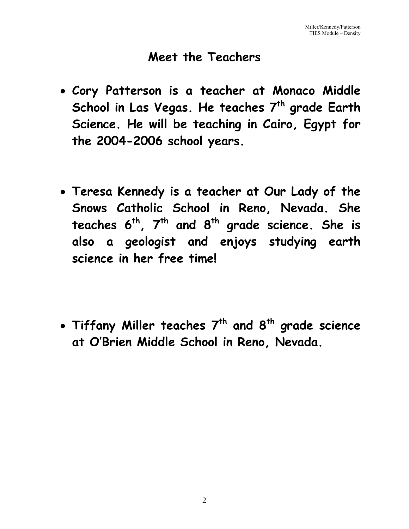# **Meet the Teachers**

- **Cory Patterson is a teacher at Monaco Middle**  School in Las Vegas. He teaches 7<sup>th</sup> grade Earth **Science. He will be teaching in Cairo, Egypt for the 2004-2006 school years.**
- **Teresa Kennedy is a teacher at Our Lady of the Snows Catholic School in Reno, Nevada. She**  teaches 6<sup>th</sup>, 7<sup>th</sup> and 8<sup>th</sup> grade science. She is **also a geologist and enjoys studying earth science in her free time!**

• **Tiffany Miller teaches 7th and 8th grade science at O'Brien Middle School in Reno, Nevada.**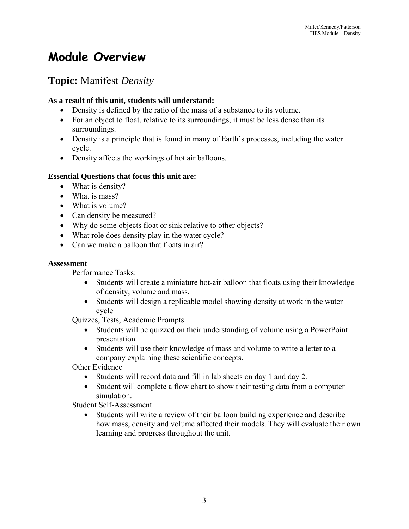# **Module Overview**

# **Topic:** Manifest *Density*

## **As a result of this unit, students will understand:**

- Density is defined by the ratio of the mass of a substance to its volume.
- For an object to float, relative to its surroundings, it must be less dense than its surroundings.
- Density is a principle that is found in many of Earth's processes, including the water cycle.
- Density affects the workings of hot air balloons.

# **Essential Questions that focus this unit are:**

- What is density?
- What is mass?
- What is volume?
- Can density be measured?
- Why do some objects float or sink relative to other objects?
- What role does density play in the water cycle?
- Can we make a balloon that floats in air?

#### **Assessment**

Performance Tasks:

- Students will create a miniature hot-air balloon that floats using their knowledge of density, volume and mass.
- Students will design a replicable model showing density at work in the water cycle

Quizzes, Tests, Academic Prompts

- Students will be quizzed on their understanding of volume using a PowerPoint presentation
- Students will use their knowledge of mass and volume to write a letter to a company explaining these scientific concepts.

Other Evidence

- Students will record data and fill in lab sheets on day 1 and day 2.
- Student will complete a flow chart to show their testing data from a computer simulation.

Student Self-Assessment

Students will write a review of their balloon building experience and describe how mass, density and volume affected their models. They will evaluate their own learning and progress throughout the unit.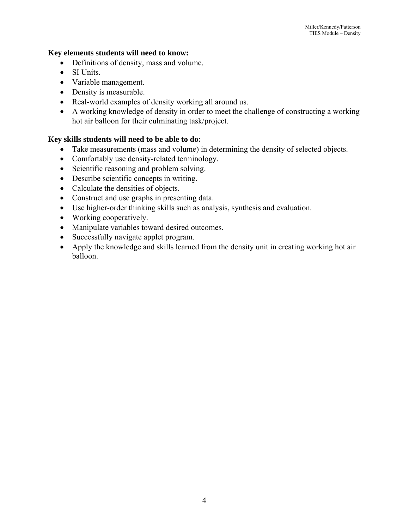#### **Key elements students will need to know:**

- Definitions of density, mass and volume.
- SI Units
- Variable management.
- Density is measurable.
- Real-world examples of density working all around us.
- A working knowledge of density in order to meet the challenge of constructing a working hot air balloon for their culminating task/project.

## **Key skills students will need to be able to do:**

- Take measurements (mass and volume) in determining the density of selected objects.
- Comfortably use density-related terminology.
- Scientific reasoning and problem solving.
- Describe scientific concepts in writing.
- Calculate the densities of objects.
- Construct and use graphs in presenting data.
- Use higher-order thinking skills such as analysis, synthesis and evaluation.
- Working cooperatively.
- Manipulate variables toward desired outcomes.
- Successfully navigate applet program.
- Apply the knowledge and skills learned from the density unit in creating working hot air balloon.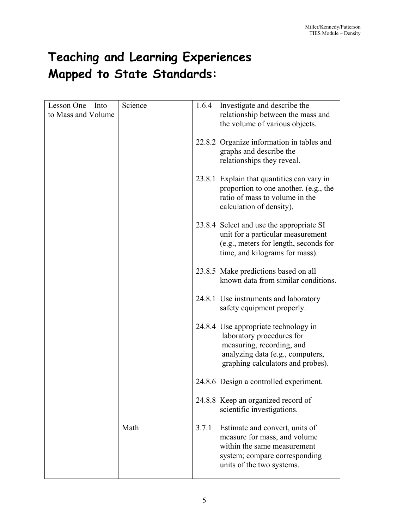# **Teaching and Learning Experiences Mapped to State Standards:**

| Lesson One – Into  | Science | 1.6.4 | Investigate and describe the                                                                                                                                            |
|--------------------|---------|-------|-------------------------------------------------------------------------------------------------------------------------------------------------------------------------|
| to Mass and Volume |         |       | relationship between the mass and<br>the volume of various objects.                                                                                                     |
|                    |         |       | 22.8.2 Organize information in tables and<br>graphs and describe the<br>relationships they reveal.                                                                      |
|                    |         |       | 23.8.1 Explain that quantities can vary in<br>proportion to one another. (e.g., the<br>ratio of mass to volume in the<br>calculation of density).                       |
|                    |         |       | 23.8.4 Select and use the appropriate SI<br>unit for a particular measurement<br>(e.g., meters for length, seconds for<br>time, and kilograms for mass).                |
|                    |         |       | 23.8.5 Make predictions based on all<br>known data from similar conditions.                                                                                             |
|                    |         |       | 24.8.1 Use instruments and laboratory<br>safety equipment properly.                                                                                                     |
|                    |         |       | 24.8.4 Use appropriate technology in<br>laboratory procedures for<br>measuring, recording, and<br>analyzing data (e.g., computers,<br>graphing calculators and probes). |
|                    |         |       | 24.8.6 Design a controlled experiment.                                                                                                                                  |
|                    |         |       | 24.8.8 Keep an organized record of<br>scientific investigations.                                                                                                        |
|                    | Math    | 3.7.1 | Estimate and convert, units of<br>measure for mass, and volume<br>within the same measurement<br>system; compare corresponding<br>units of the two systems.             |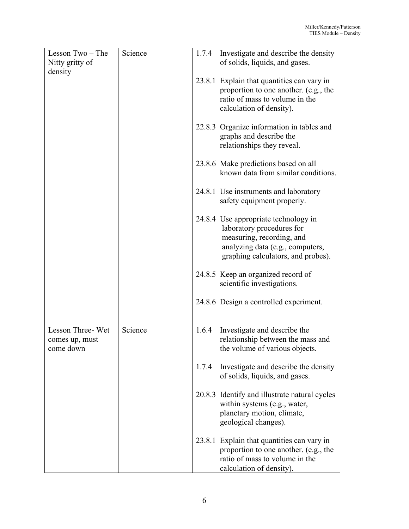| Lesson Two - The<br>Nitty gritty of             | Science | 1.7.4 | Investigate and describe the density<br>of solids, liquids, and gases.                                                                                                   |
|-------------------------------------------------|---------|-------|--------------------------------------------------------------------------------------------------------------------------------------------------------------------------|
| density                                         |         |       | 23.8.1 Explain that quantities can vary in<br>proportion to one another. (e.g., the<br>ratio of mass to volume in the<br>calculation of density).                        |
|                                                 |         |       | 22.8.3 Organize information in tables and<br>graphs and describe the<br>relationships they reveal.                                                                       |
|                                                 |         |       | 23.8.6 Make predictions based on all<br>known data from similar conditions.                                                                                              |
|                                                 |         |       | 24.8.1 Use instruments and laboratory<br>safety equipment properly.                                                                                                      |
|                                                 |         |       | 24.8.4 Use appropriate technology in<br>laboratory procedures for<br>measuring, recording, and<br>analyzing data (e.g., computers,<br>graphing calculators, and probes). |
|                                                 |         |       | 24.8.5 Keep an organized record of<br>scientific investigations.                                                                                                         |
|                                                 |         |       | 24.8.6 Design a controlled experiment.                                                                                                                                   |
| Lesson Three-Wet<br>comes up, must<br>come down | Science | 1.6.4 | Investigate and describe the<br>relationship between the mass and<br>the volume of various objects.                                                                      |
|                                                 |         | 1.7.4 | Investigate and describe the density<br>of solids, liquids, and gases.                                                                                                   |
|                                                 |         |       | 20.8.3 Identify and illustrate natural cycles<br>within systems (e.g., water,<br>planetary motion, climate,<br>geological changes).                                      |
|                                                 |         |       | 23.8.1 Explain that quantities can vary in<br>proportion to one another. (e.g., the<br>ratio of mass to volume in the<br>calculation of density).                        |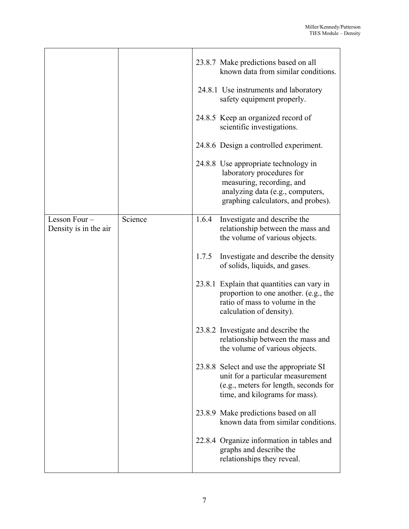|                                       |         |       | 23.8.7 Make predictions based on all<br>known data from similar conditions.<br>24.8.1 Use instruments and laboratory<br>safety equipment properly.<br>24.8.5 Keep an organized record of<br>scientific investigations.<br>24.8.6 Design a controlled experiment.<br>24.8.8 Use appropriate technology in<br>laboratory procedures for<br>measuring, recording, and<br>analyzing data (e.g., computers,<br>graphing calculators, and probes). |
|---------------------------------------|---------|-------|----------------------------------------------------------------------------------------------------------------------------------------------------------------------------------------------------------------------------------------------------------------------------------------------------------------------------------------------------------------------------------------------------------------------------------------------|
| Lesson Four-<br>Density is in the air | Science | 1.6.4 | Investigate and describe the<br>relationship between the mass and<br>the volume of various objects.                                                                                                                                                                                                                                                                                                                                          |
|                                       |         | 1.7.5 | Investigate and describe the density<br>of solids, liquids, and gases.                                                                                                                                                                                                                                                                                                                                                                       |
|                                       |         |       | 23.8.1 Explain that quantities can vary in<br>proportion to one another. (e.g., the<br>ratio of mass to volume in the<br>calculation of density).                                                                                                                                                                                                                                                                                            |
|                                       |         |       | 23.8.2 Investigate and describe the<br>relationship between the mass and<br>the volume of various objects.                                                                                                                                                                                                                                                                                                                                   |
|                                       |         |       | 23.8.8 Select and use the appropriate SI<br>unit for a particular measurement<br>(e.g., meters for length, seconds for<br>time, and kilograms for mass).                                                                                                                                                                                                                                                                                     |
|                                       |         |       | 23.8.9 Make predictions based on all<br>known data from similar conditions.                                                                                                                                                                                                                                                                                                                                                                  |
|                                       |         |       | 22.8.4 Organize information in tables and<br>graphs and describe the<br>relationships they reveal.                                                                                                                                                                                                                                                                                                                                           |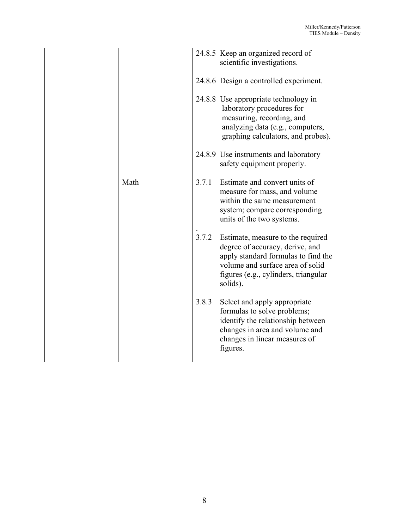|      |       | 24.8.5 Keep an organized record of<br>scientific investigations.                                                                                                                                    |
|------|-------|-----------------------------------------------------------------------------------------------------------------------------------------------------------------------------------------------------|
|      |       | 24.8.6 Design a controlled experiment.                                                                                                                                                              |
|      |       | 24.8.8 Use appropriate technology in<br>laboratory procedures for<br>measuring, recording, and<br>analyzing data (e.g., computers,<br>graphing calculators, and probes).                            |
|      |       | 24.8.9 Use instruments and laboratory<br>safety equipment properly.                                                                                                                                 |
| Math | 3.7.1 | Estimate and convert units of<br>measure for mass, and volume<br>within the same measurement<br>system; compare corresponding<br>units of the two systems.                                          |
|      | 3.7.2 | Estimate, measure to the required<br>degree of accuracy, derive, and<br>apply standard formulas to find the<br>volume and surface area of solid<br>figures (e.g., cylinders, triangular<br>solids). |
|      | 3.8.3 | Select and apply appropriate<br>formulas to solve problems;<br>identify the relationship between<br>changes in area and volume and<br>changes in linear measures of<br>figures.                     |
|      |       |                                                                                                                                                                                                     |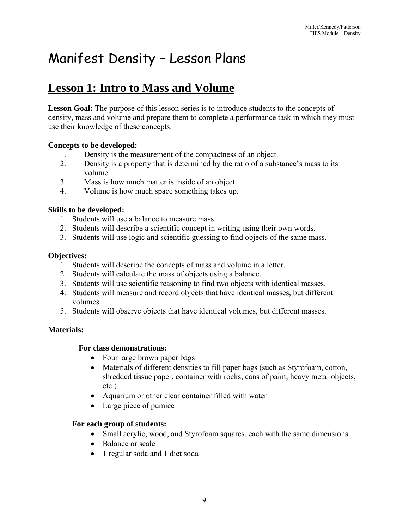# Manifest Density – Lesson Plans

# **Lesson 1: Intro to Mass and Volume**

**Lesson Goal:** The purpose of this lesson series is to introduce students to the concepts of density, mass and volume and prepare them to complete a performance task in which they must use their knowledge of these concepts.

#### **Concepts to be developed:**

- 1. Density is the measurement of the compactness of an object.
- 2. Density is a property that is determined by the ratio of a substance's mass to its volume.
- 3. Mass is how much matter is inside of an object.
- 4. Volume is how much space something takes up.

#### **Skills to be developed:**

- 1. Students will use a balance to measure mass.
- 2. Students will describe a scientific concept in writing using their own words.
- 3. Students will use logic and scientific guessing to find objects of the same mass.

#### **Objectives:**

- 1. Students will describe the concepts of mass and volume in a letter.
- 2. Students will calculate the mass of objects using a balance.
- 3. Students will use scientific reasoning to find two objects with identical masses.
- 4. Students will measure and record objects that have identical masses, but different volumes.
- 5. Students will observe objects that have identical volumes, but different masses.

#### **Materials:**

#### **For class demonstrations:**

- Four large brown paper bags
- Materials of different densities to fill paper bags (such as Styrofoam, cotton, shredded tissue paper, container with rocks, cans of paint, heavy metal objects, etc.)
- Aquarium or other clear container filled with water
- Large piece of pumice

#### **For each group of students:**

- Small acrylic, wood, and Styrofoam squares, each with the same dimensions
- Balance or scale
- 1 regular soda and 1 diet soda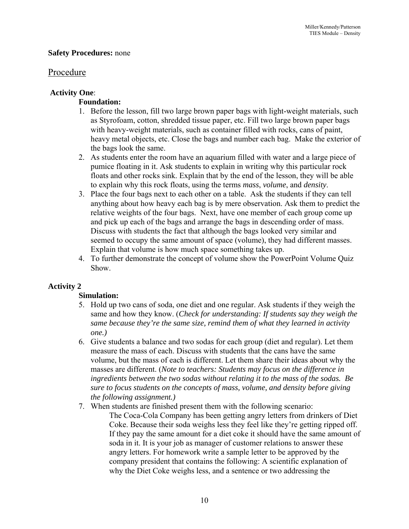#### **Safety Procedures:** none

#### Procedure

#### **Activity One**:

#### **Foundation:**

- 1. Before the lesson, fill two large brown paper bags with light-weight materials, such as Styrofoam, cotton, shredded tissue paper, etc. Fill two large brown paper bags with heavy-weight materials, such as container filled with rocks, cans of paint, heavy metal objects, etc. Close the bags and number each bag. Make the exterior of the bags look the same.
- 2. As students enter the room have an aquarium filled with water and a large piece of pumice floating in it. Ask students to explain in writing why this particular rock floats and other rocks sink. Explain that by the end of the lesson, they will be able to explain why this rock floats, using the terms *mass*, *volume*, and *density*.
- 3. Place the four bags next to each other on a table. Ask the students if they can tell anything about how heavy each bag is by mere observation. Ask them to predict the relative weights of the four bags. Next, have one member of each group come up and pick up each of the bags and arrange the bags in descending order of mass. Discuss with students the fact that although the bags looked very similar and seemed to occupy the same amount of space (volume), they had different masses. Explain that volume is how much space something takes up.
- 4. To further demonstrate the concept of volume show the PowerPoint Volume Quiz Show.

## **Activity 2**

#### **Simulation:**

- 5. Hold up two cans of soda, one diet and one regular. Ask students if they weigh the same and how they know. (*Check for understanding: If students say they weigh the same because they're the same size, remind them of what they learned in activity one.)*
- 6. Give students a balance and two sodas for each group (diet and regular). Let them measure the mass of each. Discuss with students that the cans have the same volume, but the mass of each is different. Let them share their ideas about why the masses are different. (*Note to teachers: Students may focus on the difference in ingredients between the two sodas without relating it to the mass of the sodas. Be sure to focus students on the concepts of mass, volume, and density before giving the following assignment.)*
- 7. When students are finished present them with the following scenario:
	- The Coca-Cola Company has been getting angry letters from drinkers of Diet Coke. Because their soda weighs less they feel like they're getting ripped off. If they pay the same amount for a diet coke it should have the same amount of soda in it. It is your job as manager of customer relations to answer these angry letters. For homework write a sample letter to be approved by the company president that contains the following: A scientific explanation of why the Diet Coke weighs less, and a sentence or two addressing the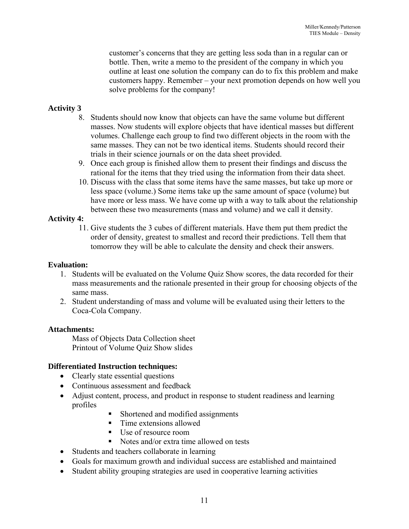customer's concerns that they are getting less soda than in a regular can or bottle. Then, write a memo to the president of the company in which you outline at least one solution the company can do to fix this problem and make customers happy. Remember – your next promotion depends on how well you solve problems for the company!

# **Activity 3**

- 8. Students should now know that objects can have the same volume but different masses. Now students will explore objects that have identical masses but different volumes. Challenge each group to find two different objects in the room with the same masses. They can not be two identical items. Students should record their trials in their science journals or on the data sheet provided.
- 9. Once each group is finished allow them to present their findings and discuss the rational for the items that they tried using the information from their data sheet.
- 10. Discuss with the class that some items have the same masses, but take up more or less space (volume.) Some items take up the same amount of space (volume) but have more or less mass. We have come up with a way to talk about the relationship between these two measurements (mass and volume) and we call it density.

#### **Activity 4:**

11. Give students the 3 cubes of different materials. Have them put them predict the order of density, greatest to smallest and record their predictions. Tell them that tomorrow they will be able to calculate the density and check their answers.

#### **Evaluation:**

- 1. Students will be evaluated on the Volume Quiz Show scores, the data recorded for their mass measurements and the rationale presented in their group for choosing objects of the same mass.
- 2. Student understanding of mass and volume will be evaluated using their letters to the Coca-Cola Company.

#### **Attachments:**

Mass of Objects Data Collection sheet Printout of Volume Quiz Show slides

#### **Differentiated Instruction techniques:**

- Clearly state essential questions
- Continuous assessment and feedback
- Adjust content, process, and product in response to student readiness and learning profiles
	- Shortened and modified assignments
	- Time extensions allowed
	- Use of resource room
	- Notes and/or extra time allowed on tests
- Students and teachers collaborate in learning
- Goals for maximum growth and individual success are established and maintained
- Student ability grouping strategies are used in cooperative learning activities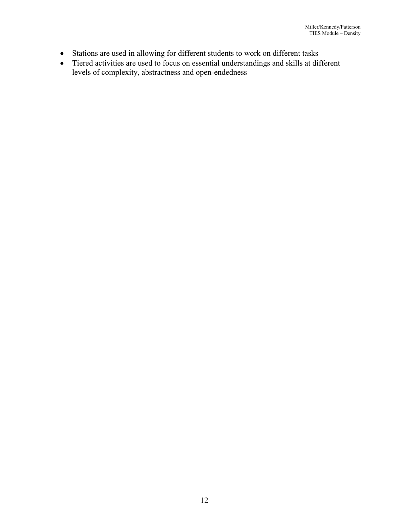- Stations are used in allowing for different students to work on different tasks
- Tiered activities are used to focus on essential understandings and skills at different levels of complexity, abstractness and open-endedness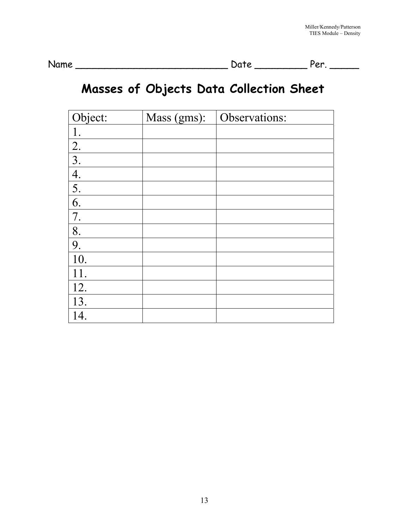Name \_\_\_\_\_\_\_\_\_\_\_\_\_\_\_\_\_\_\_\_\_\_\_\_\_\_ Date \_\_\_\_\_\_\_\_\_ Per. \_\_\_\_\_

# **Masses of Objects Data Collection Sheet**

| Object:          | Mass (gms): | Observations: |
|------------------|-------------|---------------|
|                  |             |               |
| $\frac{2}{3}$    |             |               |
|                  |             |               |
| $\frac{4}{5}$    |             |               |
|                  |             |               |
| $\overline{6}$ . |             |               |
| 7.               |             |               |
| 8.               |             |               |
| 9.               |             |               |
| 10.              |             |               |
| 11.              |             |               |
| 12.              |             |               |
| 13.              |             |               |
| 14.              |             |               |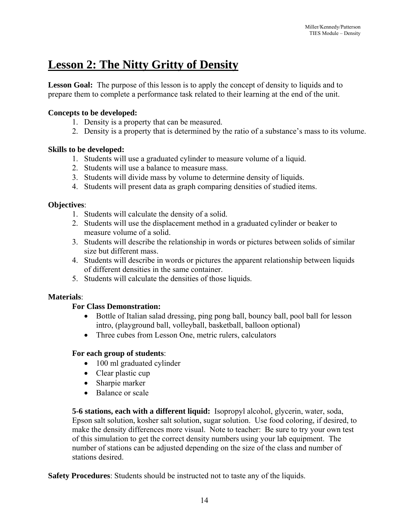# **Lesson 2: The Nitty Gritty of Density**

**Lesson Goal:** The purpose of this lesson is to apply the concept of density to liquids and to prepare them to complete a performance task related to their learning at the end of the unit.

## **Concepts to be developed:**

- 1. Density is a property that can be measured.
- 2. Density is a property that is determined by the ratio of a substance's mass to its volume.

## **Skills to be developed:**

- 1. Students will use a graduated cylinder to measure volume of a liquid.
- 2. Students will use a balance to measure mass.
- 3. Students will divide mass by volume to determine density of liquids.
- 4. Students will present data as graph comparing densities of studied items.

## **Objectives**:

- 1. Students will calculate the density of a solid.
- 2. Students will use the displacement method in a graduated cylinder or beaker to measure volume of a solid.
- 3. Students will describe the relationship in words or pictures between solids of similar size but different mass.
- 4. Students will describe in words or pictures the apparent relationship between liquids of different densities in the same container.
- 5. Students will calculate the densities of those liquids.

## **Materials**:

## **For Class Demonstration:**

- Bottle of Italian salad dressing, ping pong ball, bouncy ball, pool ball for lesson intro, (playground ball, volleyball, basketball, balloon optional)
- Three cubes from Lesson One, metric rulers, calculators

## **For each group of students**:

- 100 ml graduated cylinder
- Clear plastic cup
- Sharpie marker
- Balance or scale

**5-6 stations, each with a different liquid:** Isopropyl alcohol, glycerin, water, soda, Epson salt solution, kosher salt solution, sugar solution. Use food coloring, if desired, to make the density differences more visual. Note to teacher: Be sure to try your own test of this simulation to get the correct density numbers using your lab equipment. The number of stations can be adjusted depending on the size of the class and number of stations desired.

**Safety Procedures**: Students should be instructed not to taste any of the liquids.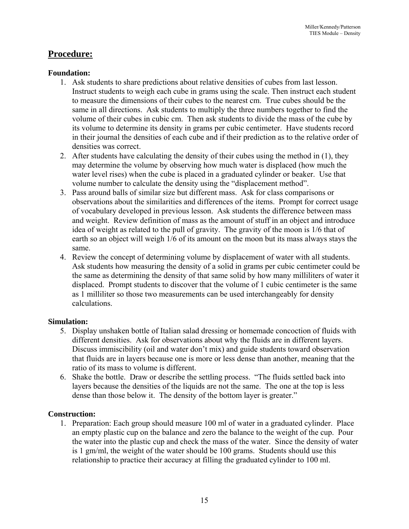# **Procedure:**

#### **Foundation:**

- 1. Ask students to share predictions about relative densities of cubes from last lesson. Instruct students to weigh each cube in grams using the scale. Then instruct each student to measure the dimensions of their cubes to the nearest cm. True cubes should be the same in all directions. Ask students to multiply the three numbers together to find the volume of their cubes in cubic cm. Then ask students to divide the mass of the cube by its volume to determine its density in grams per cubic centimeter. Have students record in their journal the densities of each cube and if their prediction as to the relative order of densities was correct.
- 2. After students have calculating the density of their cubes using the method in (1), they may determine the volume by observing how much water is displaced (how much the water level rises) when the cube is placed in a graduated cylinder or beaker. Use that volume number to calculate the density using the "displacement method".
- 3. Pass around balls of similar size but different mass. Ask for class comparisons or observations about the similarities and differences of the items. Prompt for correct usage of vocabulary developed in previous lesson. Ask students the difference between mass and weight. Review definition of mass as the amount of stuff in an object and introduce idea of weight as related to the pull of gravity. The gravity of the moon is 1/6 that of earth so an object will weigh 1/6 of its amount on the moon but its mass always stays the same.
- 4. Review the concept of determining volume by displacement of water with all students. Ask students how measuring the density of a solid in grams per cubic centimeter could be the same as determining the density of that same solid by how many milliliters of water it displaced. Prompt students to discover that the volume of 1 cubic centimeter is the same as 1 milliliter so those two measurements can be used interchangeably for density calculations.

#### **Simulation:**

- 5. Display unshaken bottle of Italian salad dressing or homemade concoction of fluids with different densities. Ask for observations about why the fluids are in different layers. Discuss immiscibility (oil and water don't mix) and guide students toward observation that fluids are in layers because one is more or less dense than another, meaning that the ratio of its mass to volume is different.
- 6. Shake the bottle. Draw or describe the settling process. "The fluids settled back into layers because the densities of the liquids are not the same. The one at the top is less dense than those below it. The density of the bottom layer is greater."

## **Construction:**

1. Preparation: Each group should measure 100 ml of water in a graduated cylinder. Place an empty plastic cup on the balance and zero the balance to the weight of the cup. Pour the water into the plastic cup and check the mass of the water. Since the density of water is 1 gm/ml, the weight of the water should be 100 grams. Students should use this relationship to practice their accuracy at filling the graduated cylinder to 100 ml.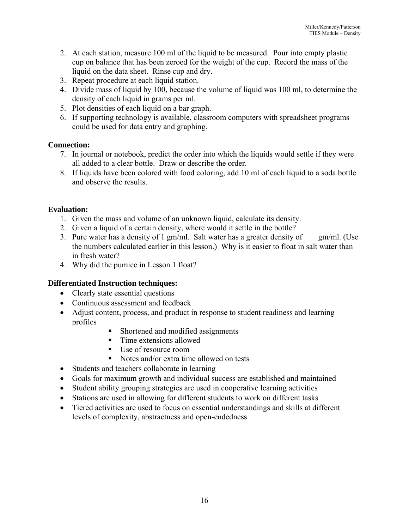- 2. At each station, measure 100 ml of the liquid to be measured. Pour into empty plastic cup on balance that has been zeroed for the weight of the cup. Record the mass of the liquid on the data sheet. Rinse cup and dry.
- 3. Repeat procedure at each liquid station.
- 4. Divide mass of liquid by 100, because the volume of liquid was 100 ml, to determine the density of each liquid in grams per ml.
- 5. Plot densities of each liquid on a bar graph.
- 6. If supporting technology is available, classroom computers with spreadsheet programs could be used for data entry and graphing.

## **Connection:**

- 7. In journal or notebook, predict the order into which the liquids would settle if they were all added to a clear bottle. Draw or describe the order.
- 8. If liquids have been colored with food coloring, add 10 ml of each liquid to a soda bottle and observe the results.

# **Evaluation:**

- 1. Given the mass and volume of an unknown liquid, calculate its density.
- 2. Given a liquid of a certain density, where would it settle in the bottle?
- 3. Pure water has a density of 1 gm/ml. Salt water has a greater density of  $\qquad \text{gm/ml.}$  (Use the numbers calculated earlier in this lesson.) Why is it easier to float in salt water than in fresh water?
- 4. Why did the pumice in Lesson 1 float?

## **Differentiated Instruction techniques:**

- Clearly state essential questions
- Continuous assessment and feedback
- Adjust content, process, and product in response to student readiness and learning profiles
	- Shortened and modified assignments
	- Time extensions allowed
	- Use of resource room
	- Notes and/or extra time allowed on tests
- Students and teachers collaborate in learning
- Goals for maximum growth and individual success are established and maintained
- Student ability grouping strategies are used in cooperative learning activities
- Stations are used in allowing for different students to work on different tasks
- Tiered activities are used to focus on essential understandings and skills at different levels of complexity, abstractness and open-endedness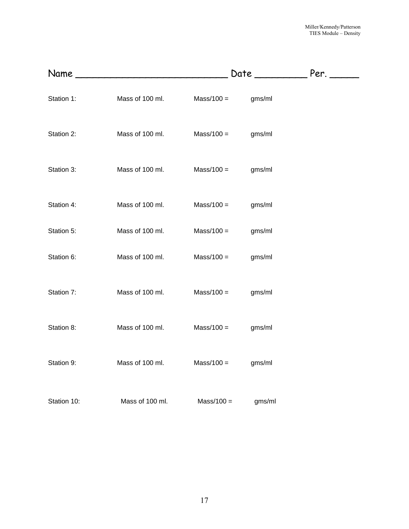|             |                 |              |        | Per. |
|-------------|-----------------|--------------|--------|------|
| Station 1:  | Mass of 100 ml. | $Mass/100 =$ | gms/ml |      |
| Station 2:  | Mass of 100 ml. | $Mass/100 =$ | gms/ml |      |
| Station 3:  | Mass of 100 ml. | $Mass/100 =$ | gms/ml |      |
| Station 4:  | Mass of 100 ml. | $Mass/100 =$ | gms/ml |      |
| Station 5:  | Mass of 100 ml. | $Mass/100 =$ | gms/ml |      |
| Station 6:  | Mass of 100 ml. | $Mass/100 =$ | gms/ml |      |
| Station 7:  | Mass of 100 ml. | $Mass/100 =$ | gms/ml |      |
| Station 8:  | Mass of 100 ml. | $Mass/100 =$ | gms/ml |      |
| Station 9:  | Mass of 100 ml. | $Mass/100 =$ | gms/ml |      |
| Station 10: | Mass of 100 ml. | $Mass/100 =$ | gms/ml |      |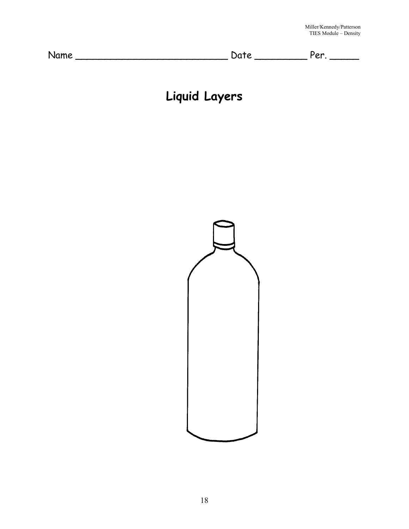| Name | $\overline{\phantom{a}}$ | $\alpha$<br>$\ddot{\phantom{0}}$ |
|------|--------------------------|----------------------------------|
|------|--------------------------|----------------------------------|

# **Liquid Layers**

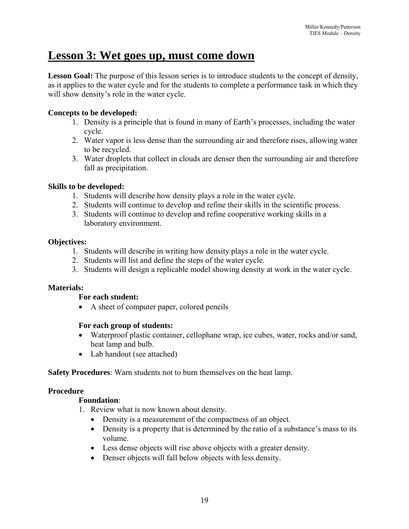# **Lesson 3: Wet goes up, must come down**

**Lesson Goal:** The purpose of this lesson series is to introduce students to the concept of density, as it applies to the water cycle and for the students to complete a performance task in which they will show density's role in the water cycle.

#### **Concepts to be developed:**

- 1. Density is a principle that is found in many of Earth's processes, including the water cycle.
- 2. Water vapor is less dense than the surrounding air and therefore rises, allowing water to be recycled.
- 3. Water droplets that collect in clouds are denser then the surrounding air and therefore fall as precipitation.

#### **Skills to be developed:**

- 1. Students will describe how density plays a role in the water cycle.
- 2. Students will continue to develop and refine their skills in the scientific process.
- 3. Students will continue to develop and refine cooperative working skills in a laboratory environment.

#### **Objectives:**

- 1. Students will describe in writing how density plays a role in the water cycle.
- 2. Students will list and define the steps of the water cycle.
- 3. Students will design a replicable model showing density at work in the water cycle.

#### **Materials:**

#### **For each student:**

• A sheet of computer paper, colored pencils

#### **For each group of students:**

- Waterproof plastic container, cellophane wrap, ice cubes, water, rocks and/or sand, heat lamp and bulb.
- Lab handout (see attached)

**Safety Procedures**: Warn students not to burn themselves on the heat lamp.

#### **Procedure**

## **Foundation**:

- 1. Review what is now known about density.
	- Density is a measurement of the compactness of an object.
	- Density is a property that is determined by the ratio of a substance's mass to its volume.
	- Less dense objects will rise above objects with a greater density.
	- Denser objects will fall below objects with less density.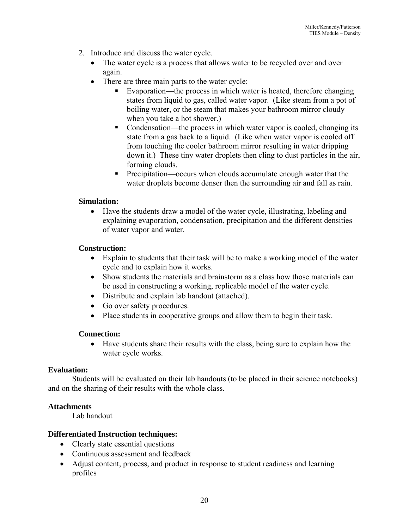- 2. Introduce and discuss the water cycle.
	- The water cycle is a process that allows water to be recycled over and over again.
	- There are three main parts to the water cycle:
		- Evaporation—the process in which water is heated, therefore changing states from liquid to gas, called water vapor. (Like steam from a pot of boiling water, or the steam that makes your bathroom mirror cloudy when you take a hot shower.)
		- Condensation—the process in which water vapor is cooled, changing its state from a gas back to a liquid. (Like when water vapor is cooled off from touching the cooler bathroom mirror resulting in water dripping down it.) These tiny water droplets then cling to dust particles in the air, forming clouds.
		- Precipitation—occurs when clouds accumulate enough water that the water droplets become denser then the surrounding air and fall as rain.

#### **Simulation:**

• Have the students draw a model of the water cycle, illustrating, labeling and explaining evaporation, condensation, precipitation and the different densities of water vapor and water.

#### **Construction:**

- Explain to students that their task will be to make a working model of the water cycle and to explain how it works.
- Show students the materials and brainstorm as a class how those materials can be used in constructing a working, replicable model of the water cycle.
- Distribute and explain lab handout (attached).
- Go over safety procedures.
- Place students in cooperative groups and allow them to begin their task.

#### **Connection:**

• Have students share their results with the class, being sure to explain how the water cycle works.

#### **Evaluation:**

Students will be evaluated on their lab handouts (to be placed in their science notebooks) and on the sharing of their results with the whole class.

#### **Attachments**

Lab handout

#### **Differentiated Instruction techniques:**

- Clearly state essential questions
- Continuous assessment and feedback
- Adjust content, process, and product in response to student readiness and learning profiles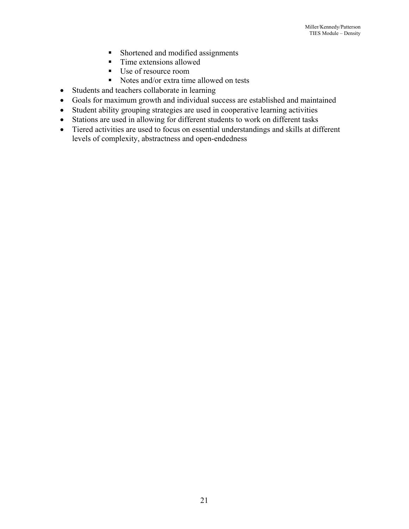- Shortened and modified assignments
- Time extensions allowed
- Use of resource room
- Notes and/or extra time allowed on tests
- Students and teachers collaborate in learning
- Goals for maximum growth and individual success are established and maintained
- Student ability grouping strategies are used in cooperative learning activities
- Stations are used in allowing for different students to work on different tasks
- Tiered activities are used to focus on essential understandings and skills at different levels of complexity, abstractness and open-endedness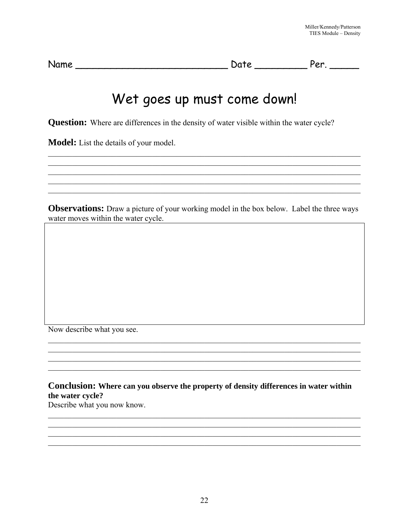| Name | Jate | Por<br>ັ |  |
|------|------|----------|--|
|      |      |          |  |

# Wet goes up must come down!

Question: Where are differences in the density of water visible within the water cycle?

Model: List the details of your model.

**Observations:** Draw a picture of your working model in the box below. Label the three ways water moves within the water cycle.

Now describe what you see.

Conclusion: Where can you observe the property of density differences in water within the water cycle?

Describe what you now know.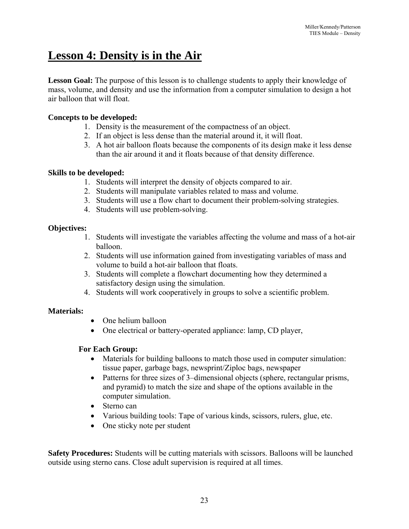# **Lesson 4: Density is in the Air**

Lesson Goal: The purpose of this lesson is to challenge students to apply their knowledge of mass, volume, and density and use the information from a computer simulation to design a hot air balloon that will float.

# **Concepts to be developed:**

- 1. Density is the measurement of the compactness of an object.
- 2. If an object is less dense than the material around it, it will float.
- 3. A hot air balloon floats because the components of its design make it less dense than the air around it and it floats because of that density difference.

## **Skills to be developed:**

- 1. Students will interpret the density of objects compared to air.
- 2. Students will manipulate variables related to mass and volume.
- 3. Students will use a flow chart to document their problem-solving strategies.
- 4. Students will use problem-solving.

# **Objectives:**

- 1. Students will investigate the variables affecting the volume and mass of a hot-air balloon.
- 2. Students will use information gained from investigating variables of mass and volume to build a hot-air balloon that floats.
- 3. Students will complete a flowchart documenting how they determined a satisfactory design using the simulation.
- 4. Students will work cooperatively in groups to solve a scientific problem.

## **Materials:**

- One helium balloon
- One electrical or battery-operated appliance: lamp, CD player,

# **For Each Group:**

- Materials for building balloons to match those used in computer simulation: tissue paper, garbage bags, newsprint/Ziploc bags, newspaper
- Patterns for three sizes of 3–dimensional objects (sphere, rectangular prisms, and pyramid) to match the size and shape of the options available in the computer simulation.
- Sterno can
- Various building tools: Tape of various kinds, scissors, rulers, glue, etc.
- One sticky note per student

**Safety Procedures:** Students will be cutting materials with scissors. Balloons will be launched outside using sterno cans. Close adult supervision is required at all times.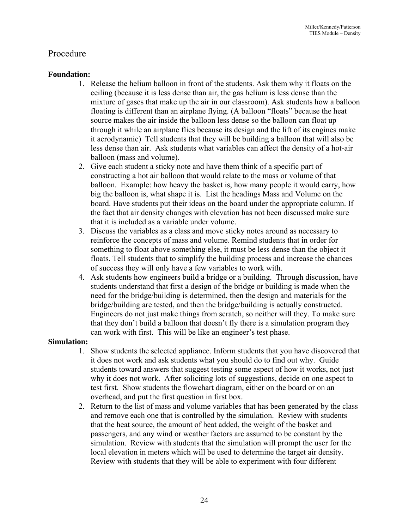# Procedure

#### **Foundation:**

- 1. Release the helium balloon in front of the students. Ask them why it floats on the ceiling (because it is less dense than air, the gas helium is less dense than the mixture of gases that make up the air in our classroom). Ask students how a balloon floating is different than an airplane flying. (A balloon "floats" because the heat source makes the air inside the balloon less dense so the balloon can float up through it while an airplane flies because its design and the lift of its engines make it aerodynamic) Tell students that they will be building a balloon that will also be less dense than air. Ask students what variables can affect the density of a hot-air balloon (mass and volume).
- 2. Give each student a sticky note and have them think of a specific part of constructing a hot air balloon that would relate to the mass or volume of that balloon. Example: how heavy the basket is, how many people it would carry, how big the balloon is, what shape it is. List the headings Mass and Volume on the board. Have students put their ideas on the board under the appropriate column. If the fact that air density changes with elevation has not been discussed make sure that it is included as a variable under volume.
- 3. Discuss the variables as a class and move sticky notes around as necessary to reinforce the concepts of mass and volume. Remind students that in order for something to float above something else, it must be less dense than the object it floats. Tell students that to simplify the building process and increase the chances of success they will only have a few variables to work with.
- 4. Ask students how engineers build a bridge or a building. Through discussion, have students understand that first a design of the bridge or building is made when the need for the bridge/building is determined, then the design and materials for the bridge/building are tested, and then the bridge/building is actually constructed. Engineers do not just make things from scratch, so neither will they. To make sure that they don't build a balloon that doesn't fly there is a simulation program they can work with first. This will be like an engineer's test phase.

#### **Simulation:**

- 1. Show students the selected appliance. Inform students that you have discovered that it does not work and ask students what you should do to find out why. Guide students toward answers that suggest testing some aspect of how it works, not just why it does not work. After soliciting lots of suggestions, decide on one aspect to test first. Show students the flowchart diagram, either on the board or on an overhead, and put the first question in first box.
- 2. Return to the list of mass and volume variables that has been generated by the class and remove each one that is controlled by the simulation. Review with students that the heat source, the amount of heat added, the weight of the basket and passengers, and any wind or weather factors are assumed to be constant by the simulation. Review with students that the simulation will prompt the user for the local elevation in meters which will be used to determine the target air density. Review with students that they will be able to experiment with four different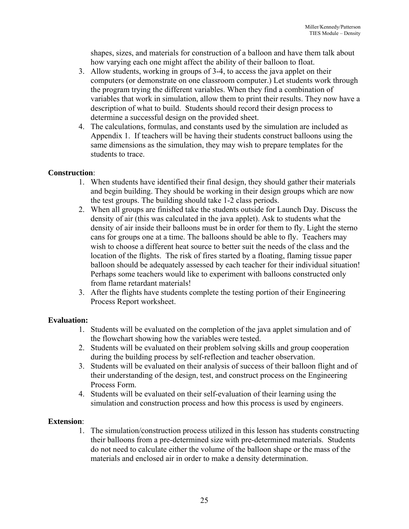shapes, sizes, and materials for construction of a balloon and have them talk about how varying each one might affect the ability of their balloon to float.

- 3. Allow students, working in groups of 3-4, to access the java applet on their computers (or demonstrate on one classroom computer.) Let students work through the program trying the different variables. When they find a combination of variables that work in simulation, allow them to print their results. They now have a description of what to build. Students should record their design process to determine a successful design on the provided sheet.
- 4. The calculations, formulas, and constants used by the simulation are included as Appendix 1. If teachers will be having their students construct balloons using the same dimensions as the simulation, they may wish to prepare templates for the students to trace.

## **Construction**:

- 1. When students have identified their final design, they should gather their materials and begin building. They should be working in their design groups which are now the test groups. The building should take 1-2 class periods.
- 2. When all groups are finished take the students outside for Launch Day. Discuss the density of air (this was calculated in the java applet). Ask to students what the density of air inside their balloons must be in order for them to fly. Light the sterno cans for groups one at a time. The balloons should be able to fly. Teachers may wish to choose a different heat source to better suit the needs of the class and the location of the flights. The risk of fires started by a floating, flaming tissue paper balloon should be adequately assessed by each teacher for their individual situation! Perhaps some teachers would like to experiment with balloons constructed only from flame retardant materials!
- 3. After the flights have students complete the testing portion of their Engineering Process Report worksheet.

## **Evaluation:**

- 1. Students will be evaluated on the completion of the java applet simulation and of the flowchart showing how the variables were tested.
- 2. Students will be evaluated on their problem solving skills and group cooperation during the building process by self-reflection and teacher observation.
- 3. Students will be evaluated on their analysis of success of their balloon flight and of their understanding of the design, test, and construct process on the Engineering Process Form.
- 4. Students will be evaluated on their self-evaluation of their learning using the simulation and construction process and how this process is used by engineers.

## **Extension**:

1. The simulation/construction process utilized in this lesson has students constructing their balloons from a pre-determined size with pre-determined materials. Students do not need to calculate either the volume of the balloon shape or the mass of the materials and enclosed air in order to make a density determination.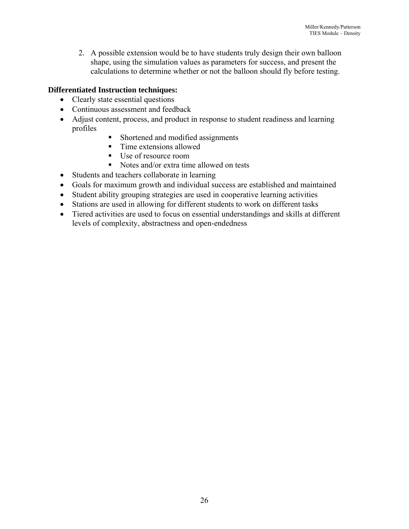2. A possible extension would be to have students truly design their own balloon shape, using the simulation values as parameters for success, and present the calculations to determine whether or not the balloon should fly before testing.

# **Differentiated Instruction techniques:**

- Clearly state essential questions
- Continuous assessment and feedback
- Adjust content, process, and product in response to student readiness and learning profiles
	- Shortened and modified assignments
	- Time extensions allowed
	- Use of resource room
	- Notes and/or extra time allowed on tests
- Students and teachers collaborate in learning
- Goals for maximum growth and individual success are established and maintained
- Student ability grouping strategies are used in cooperative learning activities
- Stations are used in allowing for different students to work on different tasks
- Tiered activities are used to focus on essential understandings and skills at different levels of complexity, abstractness and open-endedness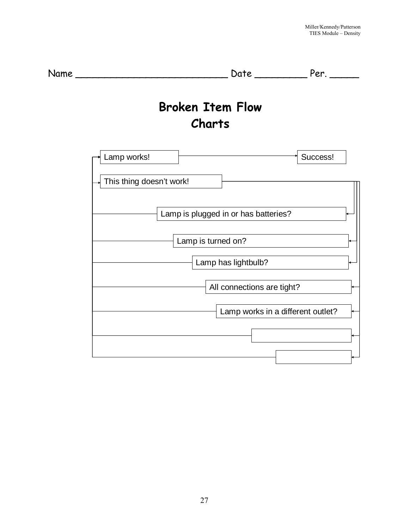| Name |                                          |
|------|------------------------------------------|
|      | <b>Broken Item Flow</b><br><b>Charts</b> |
|      | Success!<br>Lamp works!                  |
|      | This thing doesn't work!                 |
|      | Lamp is plugged in or has batteries?     |
|      | Lamp is turned on?                       |
|      | Lamp has lightbulb?                      |
|      | All connections are tight?               |
|      | Lamp works in a different outlet?        |
|      |                                          |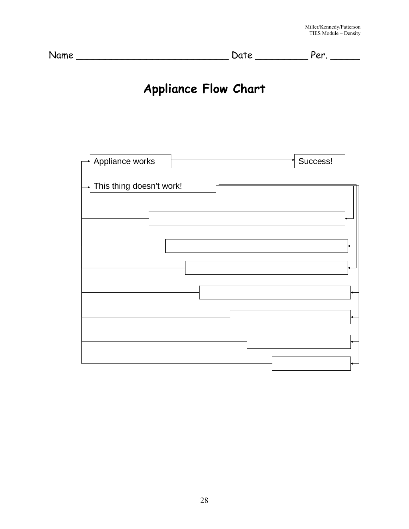| ◡ | Name | Jate | Jon |
|---|------|------|-----|
|---|------|------|-----|

# **Appliance Flow Chart**

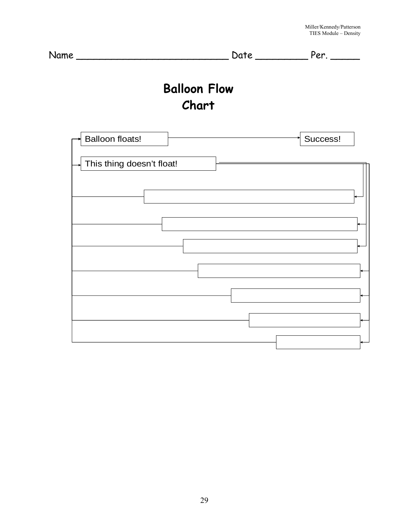|                           | <b>Balloon Flow</b><br>Chart |          |
|---------------------------|------------------------------|----------|
| <b>Balloon floats!</b>    |                              | Success! |
| This thing doesn't float! |                              |          |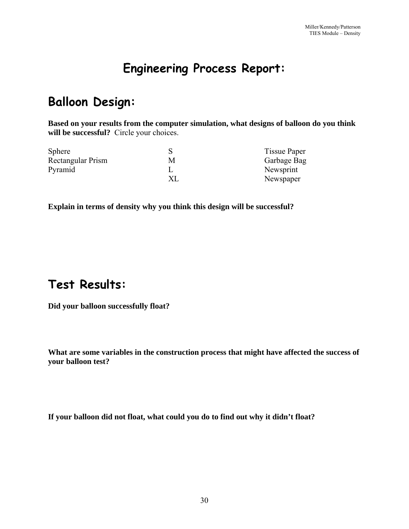# **Engineering Process Report:**

# **Balloon Design:**

**Based on your results from the computer simulation, what designs of balloon do you think will be successful?** Circle your choices.

| <b>Sphere</b>     | <b>Tissue Paper</b> |
|-------------------|---------------------|
| Rectangular Prism | Garbage Bag         |
| Pyramid           | Newsprint           |
|                   | Newspaper           |

**Explain in terms of density why you think this design will be successful?** 

# **Test Results:**

**Did your balloon successfully float?** 

**What are some variables in the construction process that might have affected the success of your balloon test?** 

**If your balloon did not float, what could you do to find out why it didn't float?**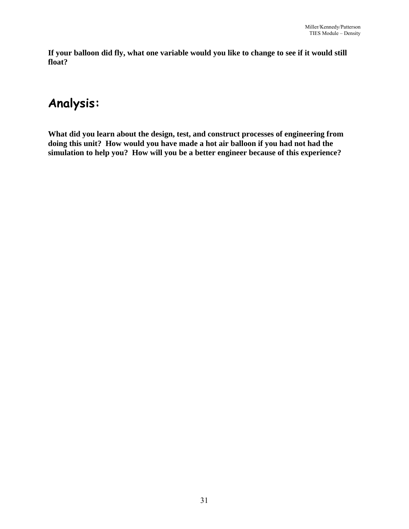**If your balloon did fly, what one variable would you like to change to see if it would still float?** 

# **Analysis:**

**What did you learn about the design, test, and construct processes of engineering from doing this unit? How would you have made a hot air balloon if you had not had the simulation to help you? How will you be a better engineer because of this experience?**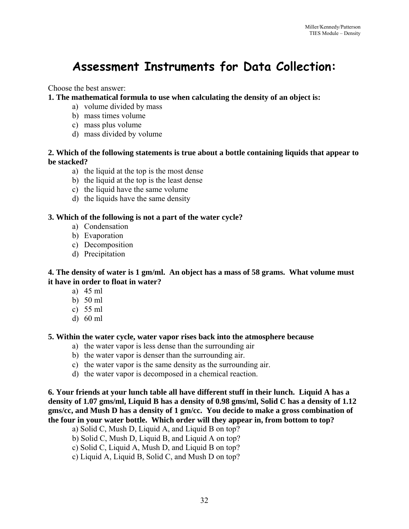# **Assessment Instruments for Data Collection:**

Choose the best answer:

**1. The mathematical formula to use when calculating the density of an object is:** 

- a) volume divided by mass
- b) mass times volume
- c) mass plus volume
- d) mass divided by volume

#### **2. Which of the following statements is true about a bottle containing liquids that appear to be stacked?**

- a) the liquid at the top is the most dense
- b) the liquid at the top is the least dense
- c) the liquid have the same volume
- d) the liquids have the same density

#### **3. Which of the following is not a part of the water cycle?**

- a) Condensation
- b) Evaporation
- c) Decomposition
- d) Precipitation

#### **4. The density of water is 1 gm/ml. An object has a mass of 58 grams. What volume must it have in order to float in water?**

- a) 45 ml
- b) 50 ml
- c) 55 ml
- d) 60 ml

#### **5. Within the water cycle, water vapor rises back into the atmosphere because**

- a) the water vapor is less dense than the surrounding air
- b) the water vapor is denser than the surrounding air.
- c) the water vapor is the same density as the surrounding air.
- d) the water vapor is decomposed in a chemical reaction.

**6. Your friends at your lunch table all have different stuff in their lunch. Liquid A has a density of 1.07 gms/ml, Liquid B has a density of 0.98 gms/ml, Solid C has a density of 1.12 gms/cc, and Mush D has a density of 1 gm/cc. You decide to make a gross combination of the four in your water bottle. Which order will they appear in, from bottom to top?** 

- a) Solid C, Mush D, Liquid A, and Liquid B on top?
- b) Solid C, Mush D, Liquid B, and Liquid A on top?
- c) Solid C, Liquid A, Mush D, and Liquid B on top?
- c) Liquid A, Liquid B, Solid C, and Mush D on top?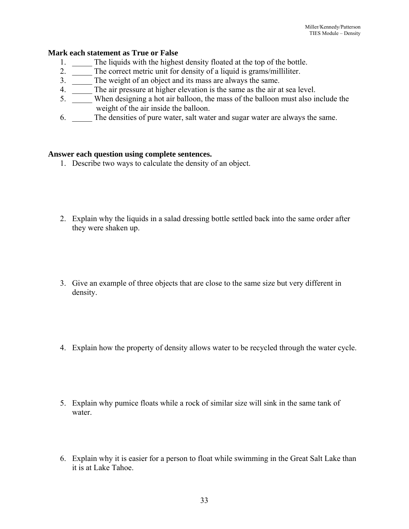#### **Mark each statement as True or False**

- 
- 1.  $\frac{1}{2}$  The liquids with the highest density floated at the top of the bottle.<br>2.  $\frac{1}{2}$  The correct metric unit for density of a liquid is grams/milliliter. The correct metric unit for density of a liquid is grams/milliliter.
- 3. \_\_\_\_\_ The weight of an object and its mass are always the same.
- 4. The air pressure at higher elevation is the same as the air at sea level.
- 5. When designing a hot air balloon, the mass of the balloon must also include the weight of the air inside the balloon.
- 6. \_\_\_\_\_ The densities of pure water, salt water and sugar water are always the same.

#### **Answer each question using complete sentences.**

- 1. Describe two ways to calculate the density of an object.
- 2. Explain why the liquids in a salad dressing bottle settled back into the same order after they were shaken up.
- 3. Give an example of three objects that are close to the same size but very different in density.
- 4. Explain how the property of density allows water to be recycled through the water cycle.
- 5. Explain why pumice floats while a rock of similar size will sink in the same tank of water.
- 6. Explain why it is easier for a person to float while swimming in the Great Salt Lake than it is at Lake Tahoe.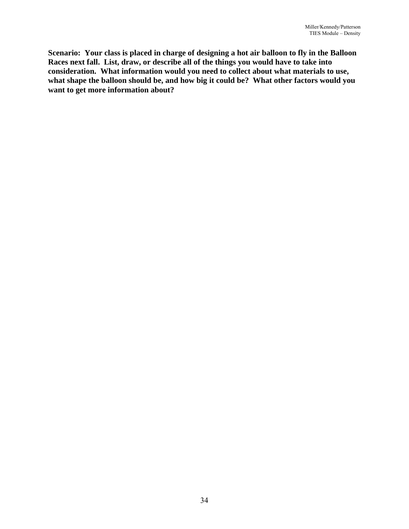**Scenario: Your class is placed in charge of designing a hot air balloon to fly in the Balloon Races next fall. List, draw, or describe all of the things you would have to take into consideration. What information would you need to collect about what materials to use, what shape the balloon should be, and how big it could be? What other factors would you want to get more information about?**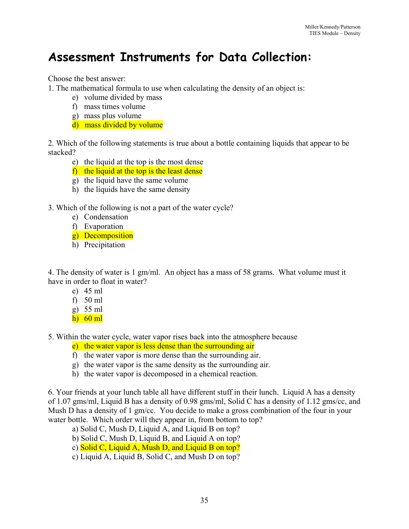# **Assessment Instruments for Data Collection:**

Choose the best answer:

1. The mathematical formula to use when calculating the density of an object is:

- e) volume divided by mass
- f) mass times volume
- g) mass plus volume
- d) mass divided by volume

2. Which of the following statements is true about a bottle containing liquids that appear to be stacked?

- e) the liquid at the top is the most dense
- f) the liquid at the top is the least dense
- g) the liquid have the same volume
- h) the liquids have the same density

3. Which of the following is not a part of the water cycle?

- e) Condensation
- f) Evaporation
- g) Decomposition
- h) Precipitation

4. The density of water is 1 gm/ml. An object has a mass of 58 grams. What volume must it have in order to float in water?

- e) 45 ml
- f)  $50$  ml
- g) 55 ml
- h) 60 ml

5. Within the water cycle, water vapor rises back into the atmosphere because

- e) the water vapor is less dense than the surrounding air
- f) the water vapor is more dense than the surrounding air.
- g) the water vapor is the same density as the surrounding air.
- h) the water vapor is decomposed in a chemical reaction.

6. Your friends at your lunch table all have different stuff in their lunch. Liquid A has a density of 1.07 gms/ml, Liquid B has a density of 0.98 gms/ml, Solid C has a density of 1.12 gms/cc, and Mush D has a density of 1 gm/cc. You decide to make a gross combination of the four in your water bottle. Which order will they appear in, from bottom to top?

- a) Solid C, Mush D, Liquid A, and Liquid B on top?
- b) Solid C, Mush D, Liquid B, and Liquid A on top?
- c) Solid C, Liquid A, Mush D, and Liquid B on top?
- c) Liquid A, Liquid B, Solid C, and Mush D on top?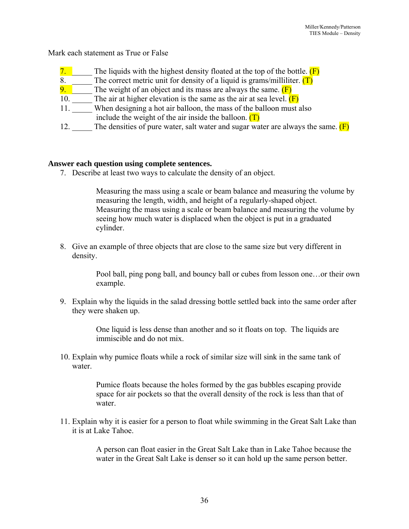Mark each statement as True or False

- 7. The liquids with the highest density floated at the top of the bottle.  $(F)$
- 8. The correct metric unit for density of a liquid is grams/milliliter.  $(T)$ <br>9. The weight of an object and its mass are always the same.  $(F)$
- 
- 9.  $\blacksquare$  The weight of an object and its mass are always the same. (F) 10.  $\blacksquare$  The air at higher elevation is the same as the air at sea level. ( The air at higher elevation is the same as the air at sea level.  $(F)$
- 11. When designing a hot air balloon, the mass of the balloon must also include the weight of the air inside the balloon.  $(T)$
- 12. The densities of pure water, salt water and sugar water are always the same.  $(F)$

#### **Answer each question using complete sentences.**

7. Describe at least two ways to calculate the density of an object.

Measuring the mass using a scale or beam balance and measuring the volume by measuring the length, width, and height of a regularly-shaped object. Measuring the mass using a scale or beam balance and measuring the volume by seeing how much water is displaced when the object is put in a graduated cylinder.

8. Give an example of three objects that are close to the same size but very different in density.

> Pool ball, ping pong ball, and bouncy ball or cubes from lesson one…or their own example.

9. Explain why the liquids in the salad dressing bottle settled back into the same order after they were shaken up.

> One liquid is less dense than another and so it floats on top. The liquids are immiscible and do not mix.

10. Explain why pumice floats while a rock of similar size will sink in the same tank of water.

> Pumice floats because the holes formed by the gas bubbles escaping provide space for air pockets so that the overall density of the rock is less than that of water.

11. Explain why it is easier for a person to float while swimming in the Great Salt Lake than it is at Lake Tahoe.

> A person can float easier in the Great Salt Lake than in Lake Tahoe because the water in the Great Salt Lake is denser so it can hold up the same person better.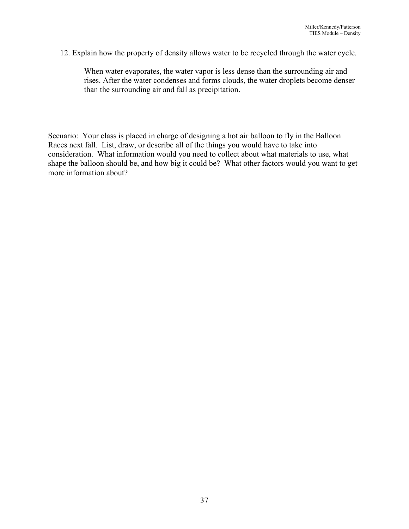12. Explain how the property of density allows water to be recycled through the water cycle.

When water evaporates, the water vapor is less dense than the surrounding air and rises. After the water condenses and forms clouds, the water droplets become denser than the surrounding air and fall as precipitation.

Scenario: Your class is placed in charge of designing a hot air balloon to fly in the Balloon Races next fall. List, draw, or describe all of the things you would have to take into consideration. What information would you need to collect about what materials to use, what shape the balloon should be, and how big it could be? What other factors would you want to get more information about?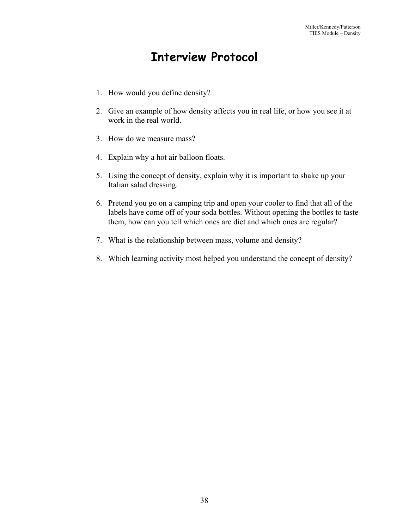# **Interview Protocol**

- 1. How would you define density?
- 2. Give an example of how density affects you in real life, or how you see it at work in the real world.
- 3. How do we measure mass?
- 4. Explain why a hot air balloon floats.
- 5. Using the concept of density, explain why it is important to shake up your Italian salad dressing.
- 6. Pretend you go on a camping trip and open your cooler to find that all of the labels have come off of your soda bottles. Without opening the bottles to taste them, how can you tell which ones are diet and which ones are regular?
- 7. What is the relationship between mass, volume and density?
- 8. Which learning activity most helped you understand the concept of density?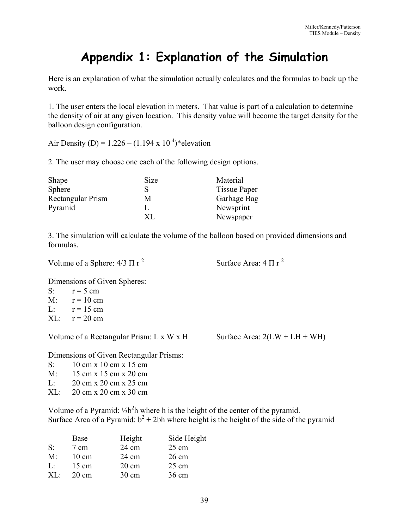# **Appendix 1: Explanation of the Simulation**

Here is an explanation of what the simulation actually calculates and the formulas to back up the work.

1. The user enters the local elevation in meters. That value is part of a calculation to determine the density of air at any given location. This density value will become the target density for the balloon design configuration.

Air Density (D) = 1.226 – (1.194 x  $10^{-4}$ )\* elevation

2. The user may choose one each of the following design options.

| <b>Shape</b>      | Size | Material            |
|-------------------|------|---------------------|
| <b>Sphere</b>     |      | <b>Tissue Paper</b> |
| Rectangular Prism | М    | Garbage Bag         |
| Pyramid           |      | Newsprint           |
|                   |      | Newspaper           |

3. The simulation will calculate the volume of the balloon based on provided dimensions and formulas.

Volume of a Sphere:  $4/3 \Pi r^2$ 

2 Surface Area:  $4 \pi r^2$ 

Dimensions of Given Spheres:

S:  $r = 5$  cm  $M'$  r = 10 cm L:  $r = 15$  cm  $XL:$   $r = 20$  cm

Volume of a Rectangular Prism: L x W x H Surface Area:  $2(LW + LH + WH)$ 

Dimensions of Given Rectangular Prisms:

- S: 10 cm x 10 cm x 15 cm
- M: 15 cm x 15 cm x 20 cm
- L: 20 cm x 20 cm x 25 cm
- XL: 20 cm x 20 cm x 30 cm

Volume of a Pyramid: ¼b<sup>2</sup>h where h is the height of the center of the pyramid. Surface Area of a Pyramid:  $b^2 + 2bh$  where height is the height of the side of the pyramid

|           | Base            | Height          | Side Height     |
|-----------|-----------------|-----------------|-----------------|
| $S$ :     | $7 \text{ cm}$  | 24 cm           | $25 \text{ cm}$ |
| M:        | $10 \text{ cm}$ | $24 \text{ cm}$ | $26 \text{ cm}$ |
| L:        | $15 \text{ cm}$ | $20 \text{ cm}$ | $25 \text{ cm}$ |
| $X\Gamma$ | $20 \text{ cm}$ | $30 \text{ cm}$ | 36 cm           |